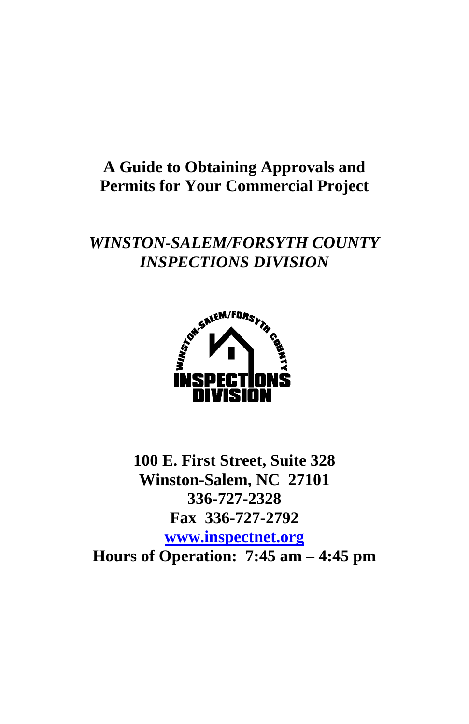## **A Guide to Obtaining Approvals and Permits for Your Commercial Project**

# *WINSTON-SALEM/FORSYTH COUNTY INSPECTIONS DIVISION*



**100 E. First Street, Suite 328 Winston-Salem, NC 27101 336-727-2328 Fax 336-727-2792 [www.inspectnet.org](http://www.inspectnet.org/) Hours of Operation: 7:45 am – 4:45 pm**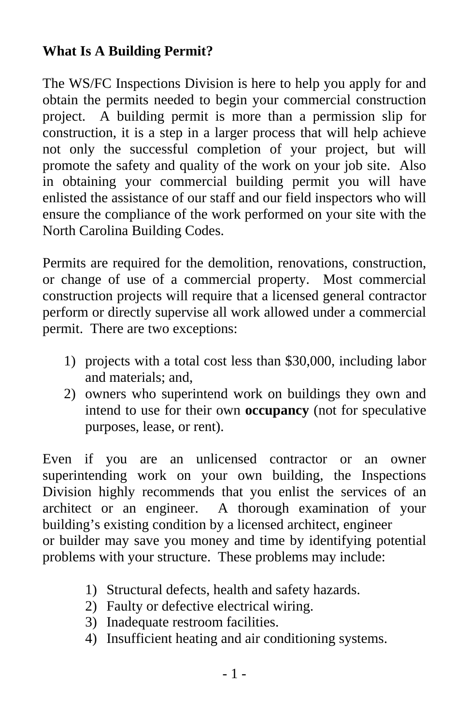#### **What Is A Building Permit?**

The WS/FC Inspections Division is here to help you apply for and obtain the permits needed to begin your commercial construction project. A building permit is more than a permission slip for construction, it is a step in a larger process that will help achieve not only the successful completion of your project, but will promote the safety and quality of the work on your job site. Also in obtaining your commercial building permit you will have enlisted the assistance of our staff and our field inspectors who will ensure the compliance of the work performed on your site with the North Carolina Building Codes.

Permits are required for the demolition, renovations, construction, or change of use of a commercial property. Most commercial construction projects will require that a licensed general contractor perform or directly supervise all work allowed under a commercial permit. There are two exceptions:

- 1) projects with a total cost less than \$30,000, including labor and materials; and,
- 2) owners who superintend work on buildings they own and intend to use for their own **occupancy** (not for speculative purposes, lease, or rent).

Even if you are an unlicensed contractor or an owner superintending work on your own building, the Inspections Division highly recommends that you enlist the services of an architect or an engineer. A thorough examination of your building's existing condition by a licensed architect, engineer or builder may save you money and time by identifying potential

problems with your structure. These problems may include:

- 1) Structural defects, health and safety hazards.
- 2) Faulty or defective electrical wiring.
- 3) Inadequate restroom facilities.
- 4) Insufficient heating and air conditioning systems.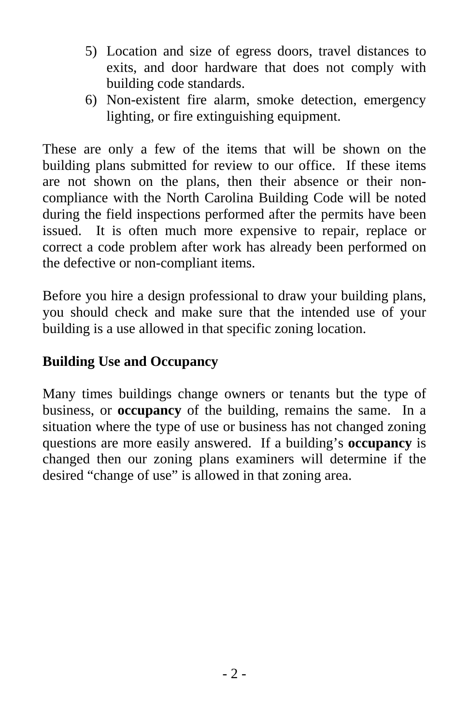- 5) Location and size of egress doors, travel distances to exits, and door hardware that does not comply with building code standards.
- 6) Non-existent fire alarm, smoke detection, emergency lighting, or fire extinguishing equipment.

These are only a few of the items that will be shown on the building plans submitted for review to our office. If these items are not shown on the plans, then their absence or their noncompliance with the North Carolina Building Code will be noted during the field inspections performed after the permits have been issued. It is often much more expensive to repair, replace or correct a code problem after work has already been performed on the defective or non-compliant items.

Before you hire a design professional to draw your building plans, you should check and make sure that the intended use of your building is a use allowed in that specific zoning location.

### **Building Use and Occupancy**

Many times buildings change owners or tenants but the type of business, or **occupancy** of the building, remains the same. In a situation where the type of use or business has not changed zoning questions are more easily answered. If a building's **occupancy** is changed then our zoning plans examiners will determine if the desired "change of use" is allowed in that zoning area.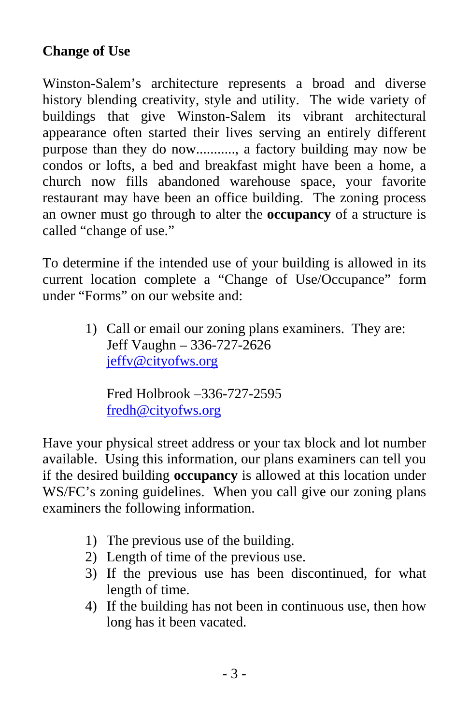#### **Change of Use**

Winston-Salem's architecture represents a broad and diverse history blending creativity, style and utility. The wide variety of buildings that give Winston-Salem its vibrant architectural appearance often started their lives serving an entirely different purpose than they do now..........., a factory building may now be condos or lofts, a bed and breakfast might have been a home, a church now fills abandoned warehouse space, your favorite restaurant may have been an office building. The zoning process an owner must go through to alter the **occupancy** of a structure is called "change of use."

To determine if the intended use of your building is allowed in its current location complete a "Change of Use/Occupance" form under "Forms" on our website and:

> 1) Call or email our zoning plans examiners. They are: Jeff Vaughn – 336-727-2626 [jeffv@cityofws.org](mailto:jeffv@cityofws.org)

Fred Holbrook –336-727-2595 [fredh@cityofws.org](mailto:fredh@cityofws.org) 

Have your physical street address or your tax block and lot number available. Using this information, our plans examiners can tell you if the desired building **occupancy** is allowed at this location under WS/FC's zoning guidelines. When you call give our zoning plans examiners the following information.

- 1) The previous use of the building.
- 2) Length of time of the previous use.
- 3) If the previous use has been discontinued, for what length of time.
- 4) If the building has not been in continuous use, then how long has it been vacated.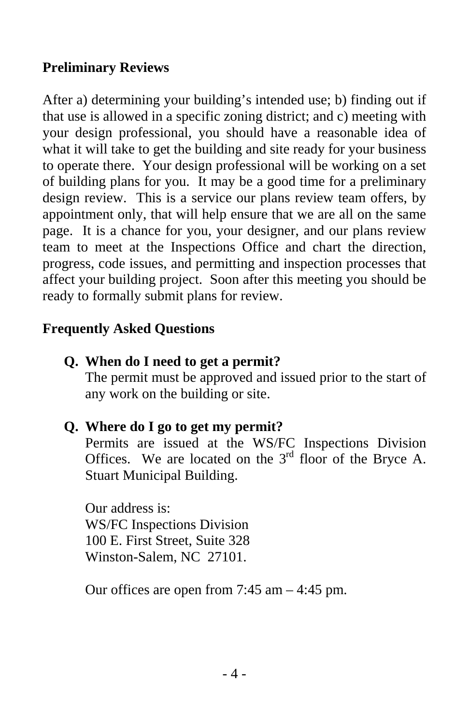#### **Preliminary Reviews**

After a) determining your building's intended use; b) finding out if that use is allowed in a specific zoning district; and c) meeting with your design professional, you should have a reasonable idea of what it will take to get the building and site ready for your business to operate there. Your design professional will be working on a set of building plans for you. It may be a good time for a preliminary design review. This is a service our plans review team offers, by appointment only, that will help ensure that we are all on the same page. It is a chance for you, your designer, and our plans review team to meet at the Inspections Office and chart the direction, progress, code issues, and permitting and inspection processes that affect your building project. Soon after this meeting you should be ready to formally submit plans for review.

### **Frequently Asked Questions**

#### **Q. When do I need to get a permit?**

The permit must be approved and issued prior to the start of any work on the building or site.

#### **Q. Where do I go to get my permit?**

Permits are issued at the WS/FC Inspections Division Offices. We are located on the  $3<sup>rd</sup>$  floor of the Bryce A. Stuart Municipal Building.

Our address is: WS/FC Inspections Division 100 E. First Street, Suite 328 Winston-Salem, NC 27101.

Our offices are open from 7:45 am – 4:45 pm.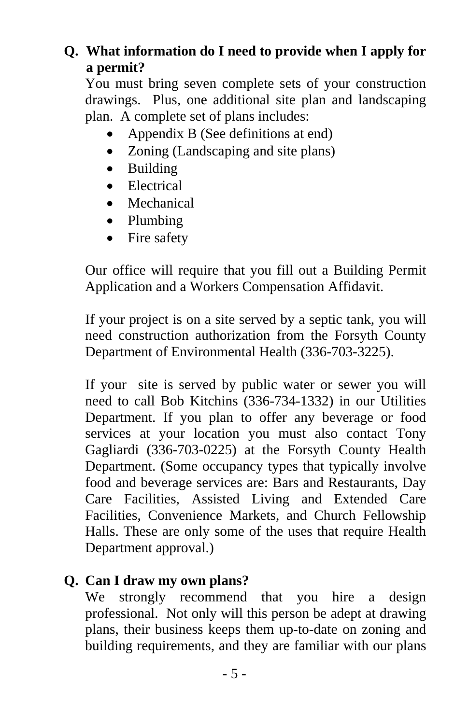### **Q. What information do I need to provide when I apply for a permit?**

You must bring seven complete sets of your construction drawings. Plus, one additional site plan and landscaping plan. A complete set of plans includes:

- Appendix B (See definitions at end)
- Zoning (Landscaping and site plans)
- Building
- Electrical
- Mechanical
- Plumbing
- Fire safety

Our office will require that you fill out a Building Permit Application and a Workers Compensation Affidavit.

If your project is on a site served by a septic tank, you will need construction authorization from the Forsyth County Department of Environmental Health (336-703-3225).

If your site is served by public water or sewer you will need to call Bob Kitchins (336-734-1332) in our Utilities Department. If you plan to offer any beverage or food services at your location you must also contact Tony Gagliardi (336-703-0225) at the Forsyth County Health Department. (Some occupancy types that typically involve food and beverage services are: Bars and Restaurants, Day Care Facilities, Assisted Living and Extended Care Facilities, Convenience Markets, and Church Fellowship Halls. These are only some of the uses that require Health Department approval.)

## **Q. Can I draw my own plans?**

We strongly recommend that you hire a design professional. Not only will this person be adept at drawing plans, their business keeps them up-to-date on zoning and building requirements, and they are familiar with our plans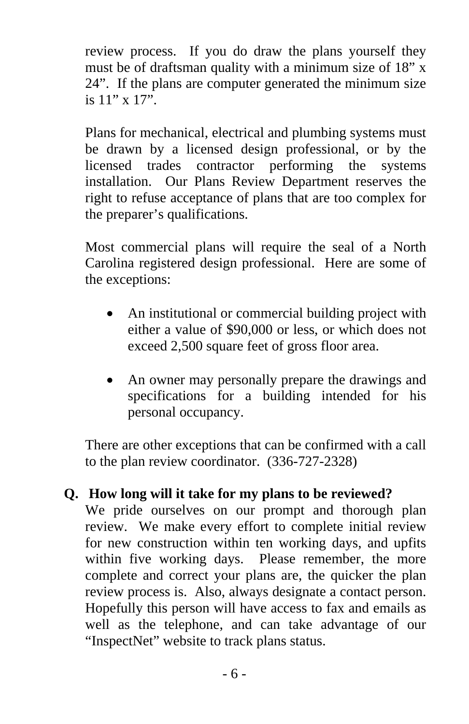review process. If you do draw the plans yourself they must be of draftsman quality with a minimum size of 18" x 24". If the plans are computer generated the minimum size is 11" x 17".

Plans for mechanical, electrical and plumbing systems must be drawn by a licensed design professional, or by the licensed trades contractor performing the systems installation. Our Plans Review Department reserves the right to refuse acceptance of plans that are too complex for the preparer's qualifications.

Most commercial plans will require the seal of a North Carolina registered design professional. Here are some of the exceptions:

- An institutional or commercial building project with either a value of \$90,000 or less, or which does not exceed 2,500 square feet of gross floor area.
- An owner may personally prepare the drawings and specifications for a building intended for his personal occupancy.

There are other exceptions that can be confirmed with a call to the plan review coordinator. (336-727-2328)

## **Q. How long will it take for my plans to be reviewed?**

We pride ourselves on our prompt and thorough plan review. We make every effort to complete initial review for new construction within ten working days, and upfits within five working days. Please remember, the more complete and correct your plans are, the quicker the plan review process is. Also, always designate a contact person. Hopefully this person will have access to fax and emails as well as the telephone, and can take advantage of our "InspectNet" website to track plans status.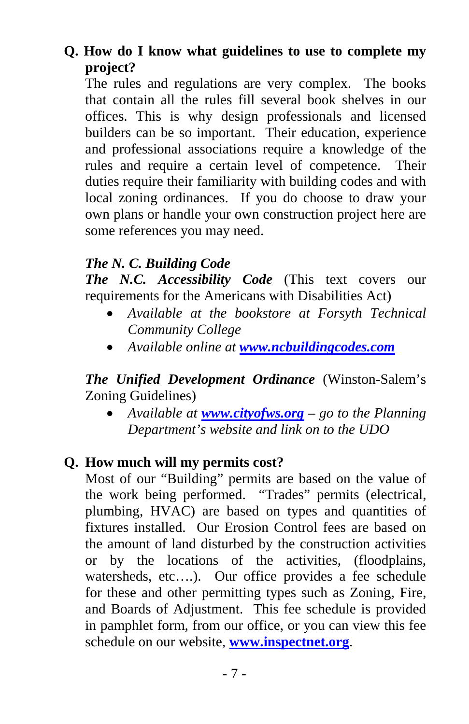### **Q. How do I know what guidelines to use to complete my project?**

The rules and regulations are very complex. The books that contain all the rules fill several book shelves in our offices. This is why design professionals and licensed builders can be so important. Their education, experience and professional associations require a knowledge of the rules and require a certain level of competence. Their duties require their familiarity with building codes and with local zoning ordinances. If you do choose to draw your own plans or handle your own construction project here are some references you may need.

#### *The N. C. Building Code*

*The N.C. Accessibility Code* (This text covers our requirements for the Americans with Disabilities Act)

- *Available at the bookstore at Forsyth Technical Community College*
- *Available online at [www.ncbuildingcodes.com](http://www.ncbuildingcodes.com/)*

#### *The Unified Development Ordinance* (Winston-Salem's Zoning Guidelines)

• *Available at [www.cityofws.org](http://www.cityofws.org/) – go to the Planning Department's website and link on to the UDO*

#### **Q. How much will my permits cost?**

Most of our "Building" permits are based on the value of the work being performed. "Trades" permits (electrical, plumbing, HVAC) are based on types and quantities of fixtures installed. Our Erosion Control fees are based on the amount of land disturbed by the construction activities or by the locations of the activities, (floodplains, watersheds, etc....). Our office provides a fee schedule for these and other permitting types such as Zoning, Fire, and Boards of Adjustment. This fee schedule is provided in pamphlet form, from our office, or you can view this fee schedule on our website, **[www.inspectnet.org](http://www.inspectnet.org/)**.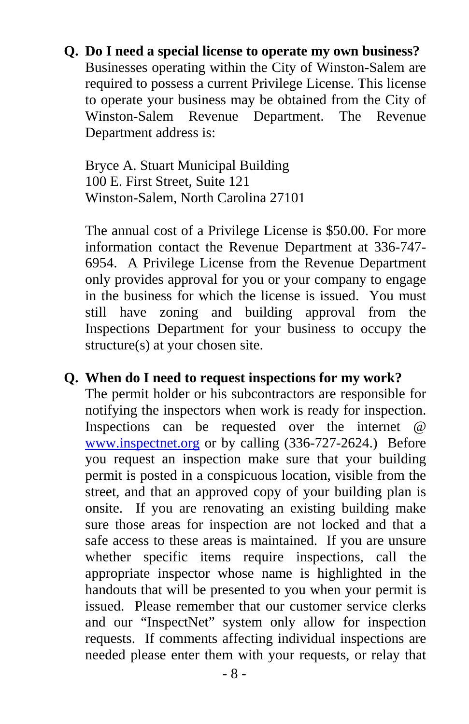#### **Q. Do I need a special license to operate my own business?**

Businesses operating within the City of Winston-Salem are required to possess a current Privilege License. This license to operate your business may be obtained from the City of Winston-Salem Revenue Department. The Revenue Department address is:

Bryce A. Stuart Municipal Building 100 E. First Street, Suite 121 Winston-Salem, North Carolina 27101

The annual cost of a Privilege License is \$50.00. For more information contact the Revenue Department at 336-747- 6954. A Privilege License from the Revenue Department only provides approval for you or your company to engage in the business for which the license is issued. You must still have zoning and building approval from the Inspections Department for your business to occupy the structure(s) at your chosen site.

#### **Q. When do I need to request inspections for my work?**

The permit holder or his subcontractors are responsible for notifying the inspectors when work is ready for inspection. Inspections can be requested over the internet @ [www.inspectnet.org](http://www.inspectnet.org/) or by calling (336-727-2624.) Before you request an inspection make sure that your building permit is posted in a conspicuous location, visible from the street, and that an approved copy of your building plan is onsite. If you are renovating an existing building make sure those areas for inspection are not locked and that a safe access to these areas is maintained. If you are unsure whether specific items require inspections, call the appropriate inspector whose name is highlighted in the handouts that will be presented to you when your permit is issued. Please remember that our customer service clerks and our "InspectNet" system only allow for inspection requests. If comments affecting individual inspections are needed please enter them with your requests, or relay that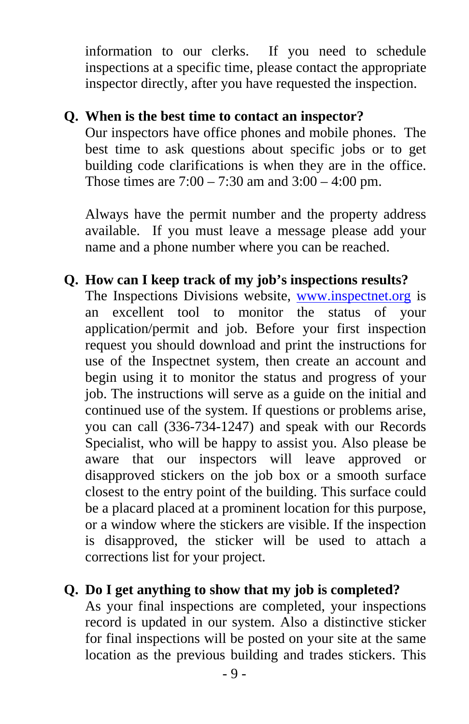information to our clerks. If you need to schedule inspections at a specific time, please contact the appropriate inspector directly, after you have requested the inspection.

#### **Q. When is the best time to contact an inspector?**

Our inspectors have office phones and mobile phones. The best time to ask questions about specific jobs or to get building code clarifications is when they are in the office. Those times are  $7:00 - 7:30$  am and  $3:00 - 4:00$  pm.

Always have the permit number and the property address available. If you must leave a message please add your name and a phone number where you can be reached.

#### **Q. How can I keep track of my job's inspections results?**

The Inspections Divisions website, [www.inspectnet.org](http://www.inspectnet.org/) is an excellent tool to monitor the status of your application/permit and job. Before your first inspection request you should download and print the instructions for use of the Inspectnet system, then create an account and begin using it to monitor the status and progress of your job. The instructions will serve as a guide on the initial and continued use of the system. If questions or problems arise, you can call (336-734-1247) and speak with our Records Specialist, who will be happy to assist you. Also please be aware that our inspectors will leave approved or disapproved stickers on the job box or a smooth surface closest to the entry point of the building. This surface could be a placard placed at a prominent location for this purpose, or a window where the stickers are visible. If the inspection is disapproved, the sticker will be used to attach a corrections list for your project.

#### **Q. Do I get anything to show that my job is completed?**

As your final inspections are completed, your inspections record is updated in our system. Also a distinctive sticker for final inspections will be posted on your site at the same location as the previous building and trades stickers. This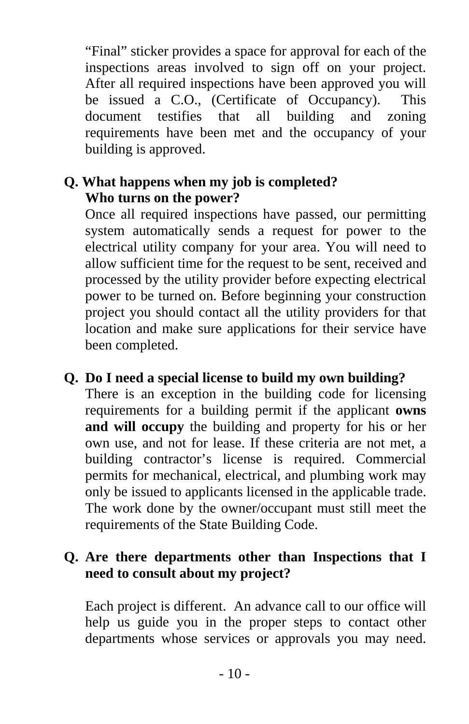"Final" sticker provides a space for approval for each of the inspections areas involved to sign off on your project. After all required inspections have been approved you will be issued a C.O., (Certificate of Occupancy). This document testifies that all building and zoning requirements have been met and the occupancy of your building is approved.

### **Q. What happens when my job is completed? Who turns on the power?**

Once all required inspections have passed, our permitting system automatically sends a request for power to the electrical utility company for your area. You will need to allow sufficient time for the request to be sent, received and processed by the utility provider before expecting electrical power to be turned on. Before beginning your construction project you should contact all the utility providers for that location and make sure applications for their service have been completed.

#### **Q. Do I need a special license to build my own building?**

There is an exception in the building code for licensing requirements for a building permit if the applicant **owns and will occupy** the building and property for his or her own use, and not for lease. If these criteria are not met, a building contractor's license is required. Commercial permits for mechanical, electrical, and plumbing work may only be issued to applicants licensed in the applicable trade. The work done by the owner/occupant must still meet the requirements of the State Building Code.

### **Q. Are there departments other than Inspections that I need to consult about my project?**

Each project is different. An advance call to our office will help us guide you in the proper steps to contact other departments whose services or approvals you may need.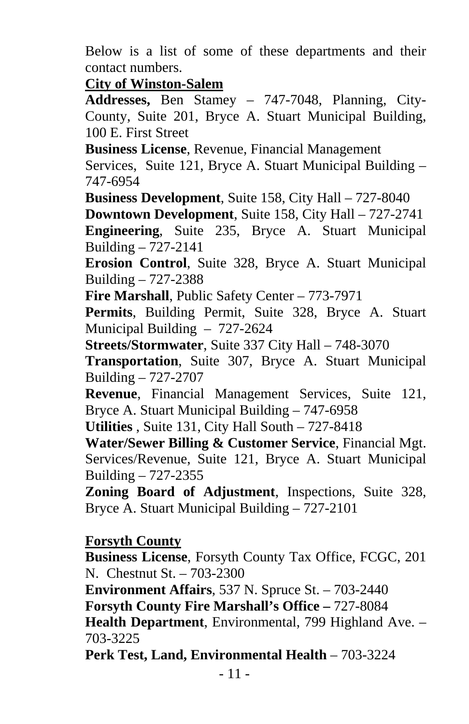Below is a list of some of these departments and their contact numbers.

**City of Winston-Salem**

**Addresses,** Ben Stamey – 747-7048, Planning, City-County, Suite 201, Bryce A. Stuart Municipal Building, 100 E. First Street

**Business License**, Revenue, Financial Management

Services, Suite 121, Bryce A. Stuart Municipal Building – 747-6954

**Business Development**, Suite 158, City Hall – 727-8040 **Downtown Development**, Suite 158, City Hall – 727-2741 **Engineering**, Suite 235, Bryce A. Stuart Municipal Building – 727-2141

**Erosion Control**, Suite 328, Bryce A. Stuart Municipal Building – 727-2388

**Fire Marshall**, Public Safety Center – 773-7971

**Permits**, Building Permit, Suite 328, Bryce A. Stuart Municipal Building – 727-2624

**Streets/Stormwater**, Suite 337 City Hall – 748-3070

**Transportation**, Suite 307, Bryce A. Stuart Municipal Building – 727-2707

**Revenue**, Financial Management Services, Suite 121, Bryce A. Stuart Municipal Building – 747-6958

**Utilities** , Suite 131, City Hall South – 727-8418

**Water/Sewer Billing & Customer Service**, Financial Mgt. Services/Revenue, Suite 121, Bryce A. Stuart Municipal Building – 727-2355

**Zoning Board of Adjustment**, Inspections, Suite 328, Bryce A. Stuart Municipal Building – 727-2101

#### **Forsyth County**

**Business License**, Forsyth County Tax Office, FCGC, 201 N. Chestnut St. – 703-2300

**Environment Affairs**, 537 N. Spruce St. – 703-2440 **Forsyth County Fire Marshall's Office –** 727-8084

**Health Department**, Environmental, 799 Highland Ave. – 703-3225

**Perk Test, Land, Environmental Health** – 703-3224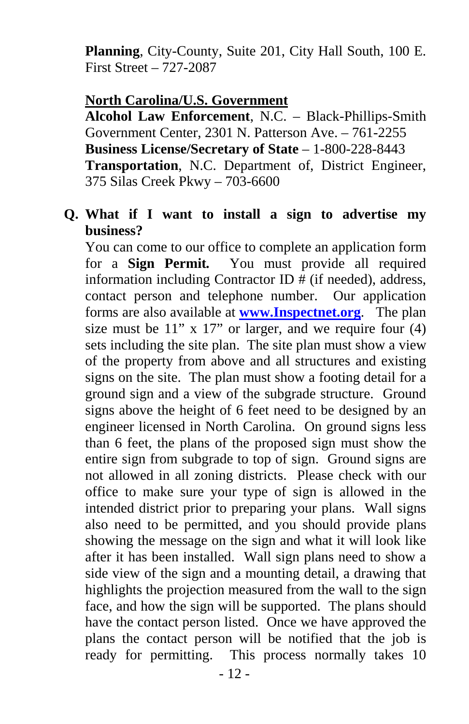**Planning**, City-County, Suite 201, City Hall South, 100 E. First Street – 727-2087

#### **North Carolina/U.S. Government**

**Alcohol Law Enforcement**, N.C. – Black-Phillips-Smith Government Center, 2301 N. Patterson Ave. – 761-2255 **Business License/Secretary of State** – 1-800-228-8443 **Transportation**, N.C. Department of, District Engineer, 375 Silas Creek Pkwy – 703-6600

#### **Q. What if I want to install a sign to advertise my business?**

You can come to our office to complete an application form for a **Sign Permit***.* You must provide all required information including Contractor ID # (if needed), address, contact person and telephone number. Our application forms are also available at **[www.Inspectnet.org](http://www.inspectnet.org/)**. The plan size must be 11" x 17" or larger, and we require four (4) sets including the site plan. The site plan must show a view of the property from above and all structures and existing signs on the site. The plan must show a footing detail for a ground sign and a view of the subgrade structure. Ground signs above the height of 6 feet need to be designed by an engineer licensed in North Carolina. On ground signs less than 6 feet, the plans of the proposed sign must show the entire sign from subgrade to top of sign. Ground signs are not allowed in all zoning districts. Please check with our office to make sure your type of sign is allowed in the intended district prior to preparing your plans. Wall signs also need to be permitted, and you should provide plans showing the message on the sign and what it will look like after it has been installed. Wall sign plans need to show a side view of the sign and a mounting detail, a drawing that highlights the projection measured from the wall to the sign face, and how the sign will be supported. The plans should have the contact person listed. Once we have approved the plans the contact person will be notified that the job is ready for permitting. This process normally takes 10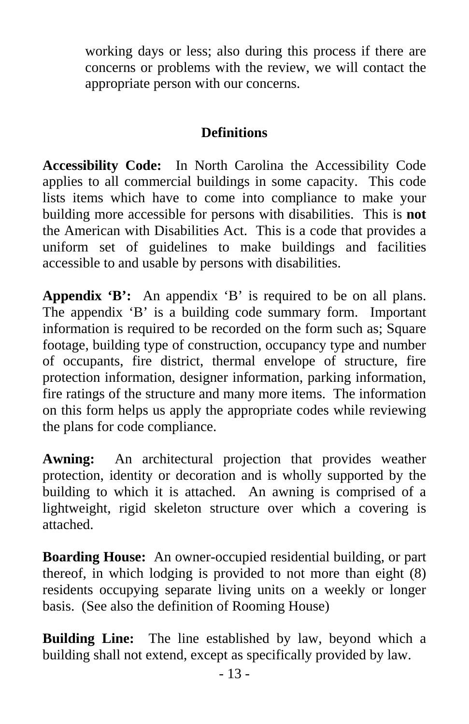working days or less; also during this process if there are concerns or problems with the review, we will contact the appropriate person with our concerns.

#### **Definitions**

**Accessibility Code:** In North Carolina the Accessibility Code applies to all commercial buildings in some capacity. This code lists items which have to come into compliance to make your building more accessible for persons with disabilities. This is **not** the American with Disabilities Act. This is a code that provides a uniform set of guidelines to make buildings and facilities accessible to and usable by persons with disabilities.

**Appendix 'B':** An appendix 'B' is required to be on all plans. The appendix 'B' is a building code summary form. Important information is required to be recorded on the form such as; Square footage, building type of construction, occupancy type and number of occupants, fire district, thermal envelope of structure, fire protection information, designer information, parking information, fire ratings of the structure and many more items. The information on this form helps us apply the appropriate codes while reviewing the plans for code compliance.

**Awning:** An architectural projection that provides weather protection, identity or decoration and is wholly supported by the building to which it is attached. An awning is comprised of a lightweight, rigid skeleton structure over which a covering is attached.

**Boarding House:** An owner-occupied residential building, or part thereof, in which lodging is provided to not more than eight (8) residents occupying separate living units on a weekly or longer basis. (See also the definition of Rooming House)

**Building Line:** The line established by law, beyond which a building shall not extend, except as specifically provided by law.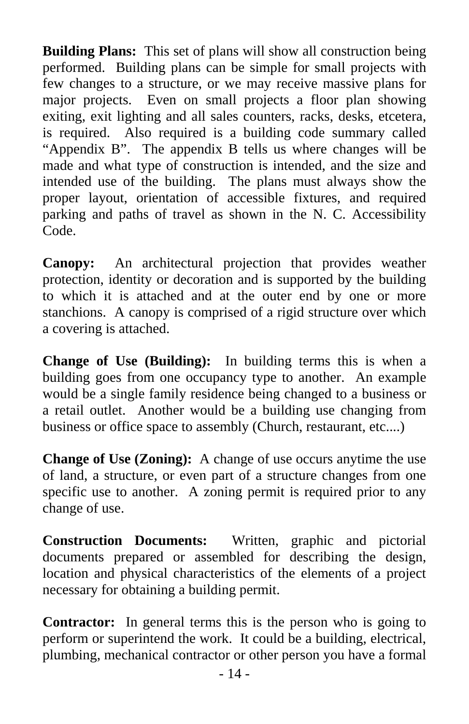**Building Plans:** This set of plans will show all construction being performed. Building plans can be simple for small projects with few changes to a structure, or we may receive massive plans for major projects. Even on small projects a floor plan showing exiting, exit lighting and all sales counters, racks, desks, etcetera, is required. Also required is a building code summary called "Appendix B". The appendix B tells us where changes will be made and what type of construction is intended, and the size and intended use of the building. The plans must always show the proper layout, orientation of accessible fixtures, and required parking and paths of travel as shown in the N. C. Accessibility Code.

**Canopy:** An architectural projection that provides weather protection, identity or decoration and is supported by the building to which it is attached and at the outer end by one or more stanchions. A canopy is comprised of a rigid structure over which a covering is attached.

**Change of Use (Building):** In building terms this is when a building goes from one occupancy type to another. An example would be a single family residence being changed to a business or a retail outlet. Another would be a building use changing from business or office space to assembly (Church, restaurant, etc....)

**Change of Use (Zoning):** A change of use occurs anytime the use of land, a structure, or even part of a structure changes from one specific use to another. A zoning permit is required prior to any change of use.

**Construction Documents:** Written, graphic and pictorial documents prepared or assembled for describing the design, location and physical characteristics of the elements of a project necessary for obtaining a building permit.

**Contractor:** In general terms this is the person who is going to perform or superintend the work. It could be a building, electrical, plumbing, mechanical contractor or other person you have a formal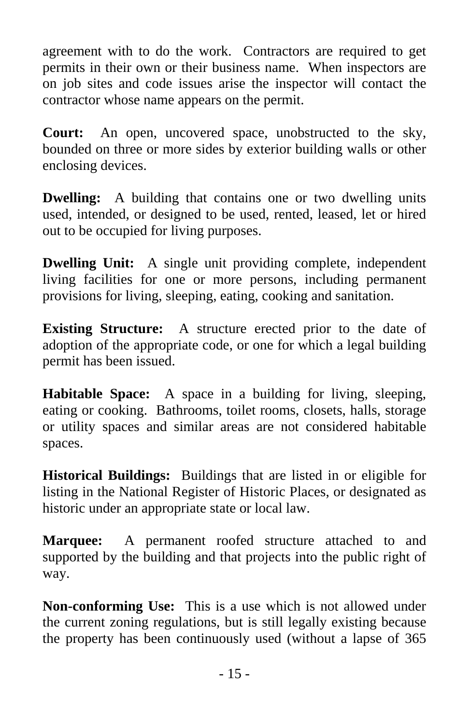agreement with to do the work. Contractors are required to get permits in their own or their business name. When inspectors are on job sites and code issues arise the inspector will contact the contractor whose name appears on the permit.

**Court:** An open, uncovered space, unobstructed to the sky, bounded on three or more sides by exterior building walls or other enclosing devices.

**Dwelling:** A building that contains one or two dwelling units used, intended, or designed to be used, rented, leased, let or hired out to be occupied for living purposes.

**Dwelling Unit:** A single unit providing complete, independent living facilities for one or more persons, including permanent provisions for living, sleeping, eating, cooking and sanitation.

**Existing Structure:** A structure erected prior to the date of adoption of the appropriate code, or one for which a legal building permit has been issued.

**Habitable Space:** A space in a building for living, sleeping, eating or cooking. Bathrooms, toilet rooms, closets, halls, storage or utility spaces and similar areas are not considered habitable spaces.

**Historical Buildings:** Buildings that are listed in or eligible for listing in the National Register of Historic Places, or designated as historic under an appropriate state or local law.

**Marquee:** A permanent roofed structure attached to and supported by the building and that projects into the public right of way.

**Non-conforming Use:** This is a use which is not allowed under the current zoning regulations, but is still legally existing because the property has been continuously used (without a lapse of 365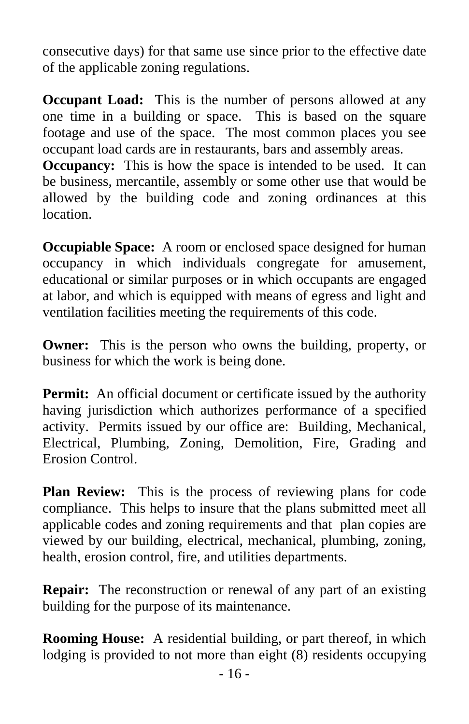consecutive days) for that same use since prior to the effective date of the applicable zoning regulations.

**Occupant Load:** This is the number of persons allowed at any one time in a building or space. This is based on the square footage and use of the space. The most common places you see occupant load cards are in restaurants, bars and assembly areas.

**Occupancy:** This is how the space is intended to be used. It can be business, mercantile, assembly or some other use that would be allowed by the building code and zoning ordinances at this location.

**Occupiable Space:** A room or enclosed space designed for human occupancy in which individuals congregate for amusement, educational or similar purposes or in which occupants are engaged at labor, and which is equipped with means of egress and light and ventilation facilities meeting the requirements of this code.

**Owner:** This is the person who owns the building, property, or business for which the work is being done.

**Permit:** An official document or certificate issued by the authority having jurisdiction which authorizes performance of a specified activity. Permits issued by our office are:Building, Mechanical, Electrical, Plumbing, Zoning, Demolition, Fire, Grading and Erosion Control.

**Plan Review:** This is the process of reviewing plans for code compliance. This helps to insure that the plans submitted meet all applicable codes and zoning requirements and that plan copies are viewed by our building, electrical, mechanical, plumbing, zoning, health, erosion control, fire, and utilities departments.

**Repair:** The reconstruction or renewal of any part of an existing building for the purpose of its maintenance.

**Rooming House:** A residential building, or part thereof, in which lodging is provided to not more than eight (8) residents occupying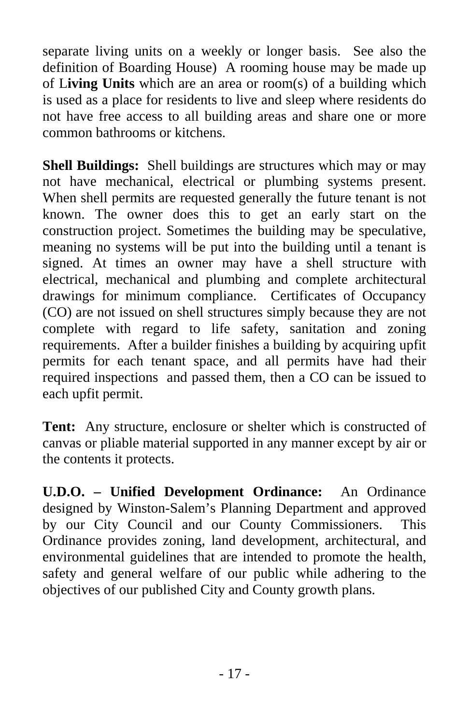separate living units on a weekly or longer basis. See also the definition of Boarding House) A rooming house may be made up of L**iving Units** which are an area or room(s) of a building which is used as a place for residents to live and sleep where residents do not have free access to all building areas and share one or more common bathrooms or kitchens.

**Shell Buildings:** Shell buildings are structures which may or may not have mechanical, electrical or plumbing systems present. When shell permits are requested generally the future tenant is not known. The owner does this to get an early start on the construction project. Sometimes the building may be speculative, meaning no systems will be put into the building until a tenant is signed. At times an owner may have a shell structure with electrical, mechanical and plumbing and complete architectural drawings for minimum compliance. Certificates of Occupancy (CO) are not issued on shell structures simply because they are not complete with regard to life safety, sanitation and zoning requirements. After a builder finishes a building by acquiring upfit permits for each tenant space, and all permits have had their required inspections and passed them, then a CO can be issued to each upfit permit.

**Tent:** Any structure, enclosure or shelter which is constructed of canvas or pliable material supported in any manner except by air or the contents it protects.

**U.D.O. – Unified Development Ordinance:** An Ordinance designed by Winston-Salem's Planning Department and approved by our City Council and our County Commissioners. This Ordinance provides zoning, land development, architectural, and environmental guidelines that are intended to promote the health, safety and general welfare of our public while adhering to the objectives of our published City and County growth plans.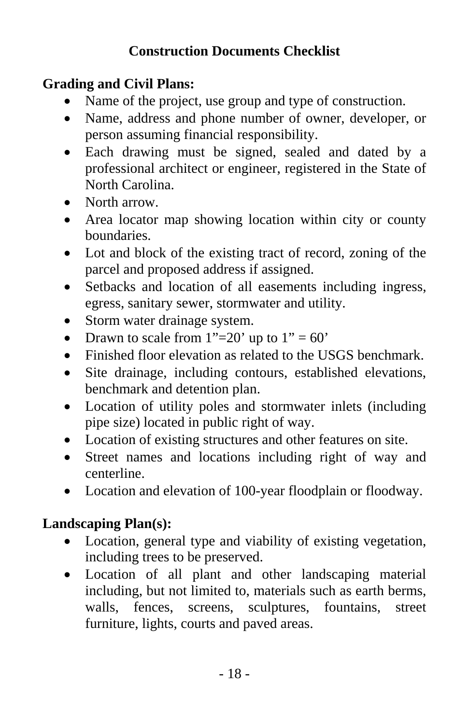### **Construction Documents Checklist**

#### **Grading and Civil Plans:**

- Name of the project, use group and type of construction.
- Name, address and phone number of owner, developer, or person assuming financial responsibility.
- Each drawing must be signed, sealed and dated by a professional architect or engineer, registered in the State of North Carolina.
- North arrow.
- Area locator map showing location within city or county boundaries.
- Lot and block of the existing tract of record, zoning of the parcel and proposed address if assigned.
- Setbacks and location of all easements including ingress, egress, sanitary sewer, stormwater and utility.
- Storm water drainage system.
- Drawn to scale from  $1" = 20'$  up to  $1" = 60'$
- Finished floor elevation as related to the USGS benchmark.
- Site drainage, including contours, established elevations, benchmark and detention plan.
- Location of utility poles and stormwater inlets (including pipe size) located in public right of way.
- Location of existing structures and other features on site.
- Street names and locations including right of way and centerline.
- Location and elevation of 100-year floodplain or floodway.

## **Landscaping Plan(s):**

- Location, general type and viability of existing vegetation, including trees to be preserved.
- Location of all plant and other landscaping material including, but not limited to, materials such as earth berms, walls, fences, screens, sculptures, fountains, street furniture, lights, courts and paved areas.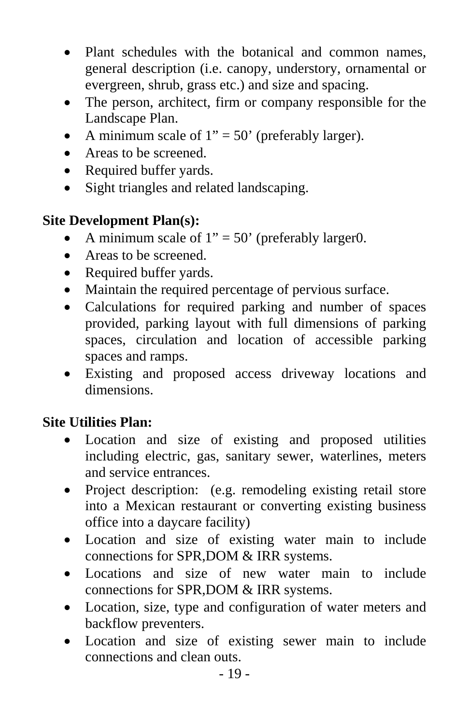- Plant schedules with the botanical and common names, general description (i.e. canopy, understory, ornamental or evergreen, shrub, grass etc.) and size and spacing.
- The person, architect, firm or company responsible for the Landscape Plan.
- A minimum scale of  $1" = 50'$  (preferably larger).
- Areas to be screened.
- Required buffer yards.
- Sight triangles and related landscaping.

### **Site Development Plan(s):**

- A minimum scale of  $1" = 50'$  (preferably larger0.
- Areas to be screened.
- Required buffer yards.
- Maintain the required percentage of pervious surface.
- Calculations for required parking and number of spaces provided, parking layout with full dimensions of parking spaces, circulation and location of accessible parking spaces and ramps.
- Existing and proposed access driveway locations and dimensions.

## **Site Utilities Plan:**

- Location and size of existing and proposed utilities including electric, gas, sanitary sewer, waterlines, meters and service entrances.
- Project description: (e.g. remodeling existing retail store into a Mexican restaurant or converting existing business office into a daycare facility)
- Location and size of existing water main to include connections for SPR,DOM & IRR systems.
- Locations and size of new water main to include connections for SPR,DOM & IRR systems.
- Location, size, type and configuration of water meters and backflow preventers.
- Location and size of existing sewer main to include connections and clean outs.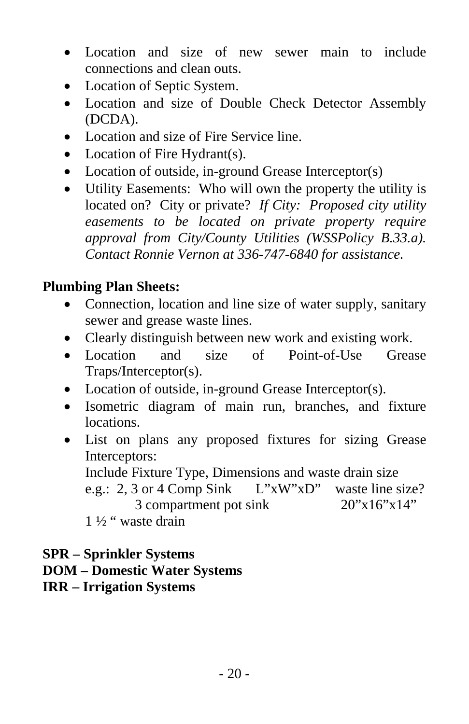- Location and size of new sewer main to include connections and clean outs.
- Location of Septic System.
- Location and size of Double Check Detector Assembly (DCDA).
- Location and size of Fire Service line.
- Location of Fire Hydrant(s).
- Location of outside, in-ground Grease Interceptor(s)
- Utility Easements: Who will own the property the utility is located on? City or private? *If City: Proposed city utility easements to be located on private property require approval from City/County Utilities (WSSPolicy B.33.a). Contact Ronnie Vernon at 336-747-6840 for assistance.*

### **Plumbing Plan Sheets:**

- Connection, location and line size of water supply, sanitary sewer and grease waste lines.
- Clearly distinguish between new work and existing work.
- Location and size of Point-of-Use Grease Traps/Interceptor(s).
- Location of outside, in-ground Grease Interceptor(s).
- Isometric diagram of main run, branches, and fixture locations.
- List on plans any proposed fixtures for sizing Grease Interceptors:
	- Include Fixture Type, Dimensions and waste drain size
	- e.g.: 2, 3 or 4 Comp Sink L"xW"xD" waste line size? 3 compartment pot sink  $20"x16"x14"$

1 ½ " waste drain

#### **SPR – Sprinkler Systems**

#### **DOM – Domestic Water Systems**

#### **IRR – Irrigation Systems**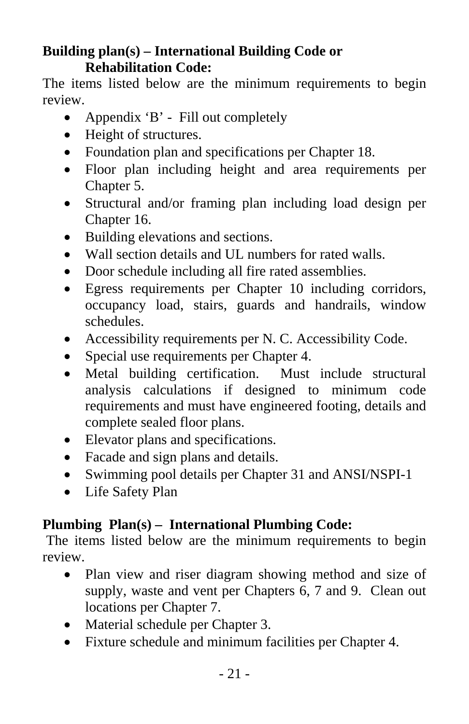#### **Building plan(s) – International Building Code or Rehabilitation Code:**

The items listed below are the minimum requirements to begin review.

- Appendix 'B' Fill out completely
- Height of structures.
- Foundation plan and specifications per Chapter 18.
- Floor plan including height and area requirements per Chapter 5.
- Structural and/or framing plan including load design per Chapter 16.
- Building elevations and sections.
- Wall section details and UL numbers for rated walls.
- Door schedule including all fire rated assemblies.
- Egress requirements per Chapter 10 including corridors, occupancy load, stairs, guards and handrails, window schedules.
- Accessibility requirements per N. C. Accessibility Code.
- Special use requirements per Chapter 4.
- Metal building certification. Must include structural analysis calculations if designed to minimum code requirements and must have engineered footing, details and complete sealed floor plans.
- Elevator plans and specifications.
- Facade and sign plans and details.
- Swimming pool details per Chapter 31 and ANSI/NSPI-1
- Life Safety Plan

## **Plumbing Plan(s) – International Plumbing Code:**

 The items listed below are the minimum requirements to begin review.

- Plan view and riser diagram showing method and size of supply, waste and vent per Chapters 6, 7 and 9. Clean out locations per Chapter 7.
- Material schedule per Chapter 3.
- Fixture schedule and minimum facilities per Chapter 4.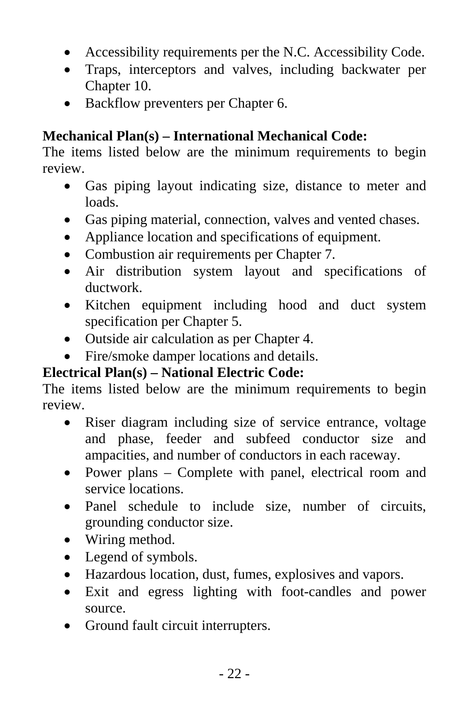- Accessibility requirements per the N.C. Accessibility Code.
- Traps, interceptors and valves, including backwater per Chapter 10.
- Backflow preventers per Chapter 6.

## **Mechanical Plan(s) – International Mechanical Code:**

The items listed below are the minimum requirements to begin review.

- Gas piping layout indicating size, distance to meter and loads.
- Gas piping material, connection, valves and vented chases.
- Appliance location and specifications of equipment.
- Combustion air requirements per Chapter 7.
- Air distribution system layout and specifications of ductwork.
- Kitchen equipment including hood and duct system specification per Chapter 5.
- Outside air calculation as per Chapter 4.
- Fire/smoke damper locations and details.

## **Electrical Plan(s) – National Electric Code:**

The items listed below are the minimum requirements to begin review.

- Riser diagram including size of service entrance, voltage and phase, feeder and subfeed conductor size and ampacities, and number of conductors in each raceway.
- Power plans Complete with panel, electrical room and service locations.
- Panel schedule to include size, number of circuits, grounding conductor size.
- Wiring method.
- Legend of symbols.
- Hazardous location, dust, fumes, explosives and vapors.
- Exit and egress lighting with foot-candles and power source.
- Ground fault circuit interrupters.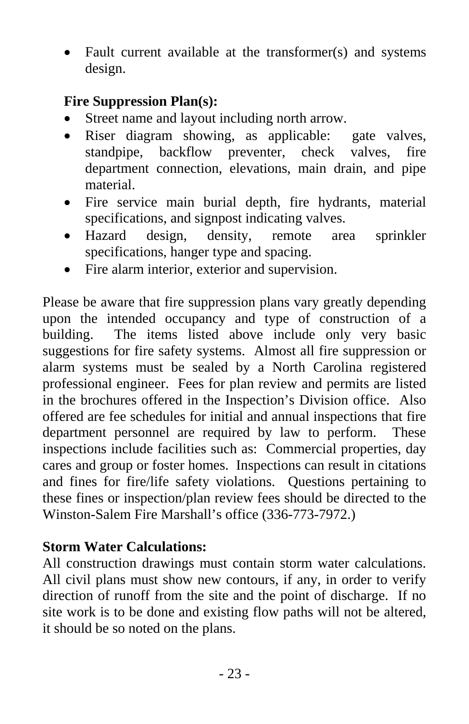• Fault current available at the transformer(s) and systems design.

#### **Fire Suppression Plan(s):**

- Street name and layout including north arrow.
- Riser diagram showing, as applicable: gate valves, standpipe, backflow preventer, check valves, fire department connection, elevations, main drain, and pipe material.
- Fire service main burial depth, fire hydrants, material specifications, and signpost indicating valves.
- Hazard design, density, remote area sprinkler specifications, hanger type and spacing.
- Fire alarm interior, exterior and supervision.

Please be aware that fire suppression plans vary greatly depending upon the intended occupancy and type of construction of a building. The items listed above include only very basic suggestions for fire safety systems. Almost all fire suppression or alarm systems must be sealed by a North Carolina registered professional engineer. Fees for plan review and permits are listed in the brochures offered in the Inspection's Division office. Also offered are fee schedules for initial and annual inspections that fire department personnel are required by law to perform. These inspections include facilities such as: Commercial properties, day cares and group or foster homes. Inspections can result in citations and fines for fire/life safety violations. Questions pertaining to these fines or inspection/plan review fees should be directed to the Winston-Salem Fire Marshall's office (336-773-7972.)

#### **Storm Water Calculations:**

All construction drawings must contain storm water calculations. All civil plans must show new contours, if any, in order to verify direction of runoff from the site and the point of discharge. If no site work is to be done and existing flow paths will not be altered, it should be so noted on the plans.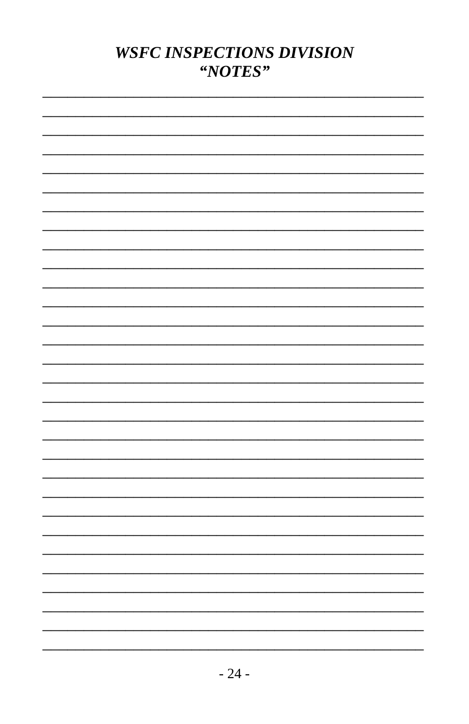# **WSFC INSPECTIONS DIVISION** "NOTES"